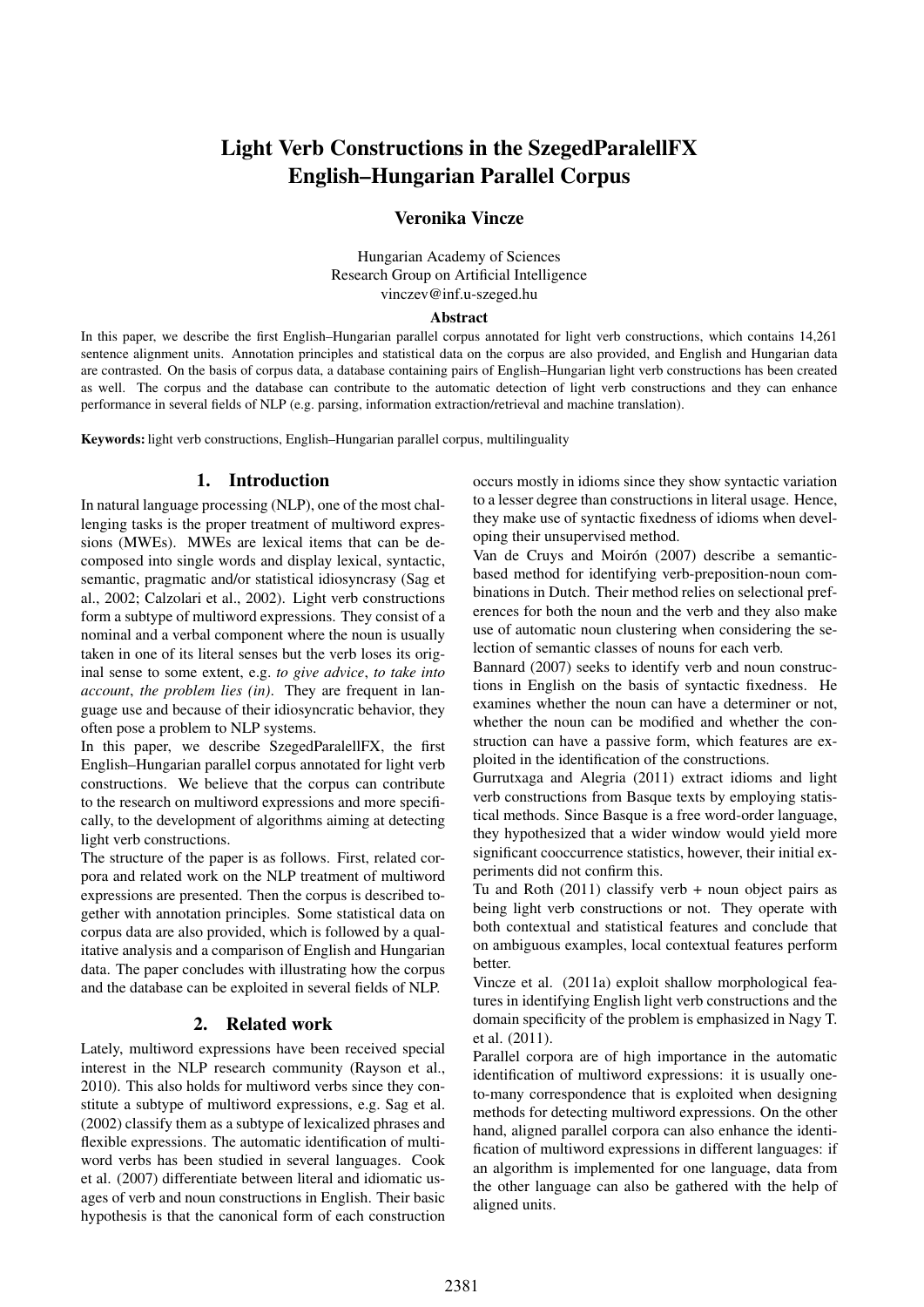# Light Verb Constructions in the SzegedParalellFX English–Hungarian Parallel Corpus

# Veronika Vincze

Hungarian Academy of Sciences Research Group on Artificial Intelligence vinczev@inf.u-szeged.hu

#### Abstract

In this paper, we describe the first English–Hungarian parallel corpus annotated for light verb constructions, which contains 14,261 sentence alignment units. Annotation principles and statistical data on the corpus are also provided, and English and Hungarian data are contrasted. On the basis of corpus data, a database containing pairs of English–Hungarian light verb constructions has been created as well. The corpus and the database can contribute to the automatic detection of light verb constructions and they can enhance performance in several fields of NLP (e.g. parsing, information extraction/retrieval and machine translation).

Keywords: light verb constructions, English–Hungarian parallel corpus, multilinguality

# 1. Introduction

In natural language processing (NLP), one of the most challenging tasks is the proper treatment of multiword expressions (MWEs). MWEs are lexical items that can be decomposed into single words and display lexical, syntactic, semantic, pragmatic and/or statistical idiosyncrasy (Sag et al., 2002; Calzolari et al., 2002). Light verb constructions form a subtype of multiword expressions. They consist of a nominal and a verbal component where the noun is usually taken in one of its literal senses but the verb loses its original sense to some extent, e.g. *to give advice*, *to take into account*, *the problem lies (in)*. They are frequent in language use and because of their idiosyncratic behavior, they often pose a problem to NLP systems.

In this paper, we describe SzegedParalellFX, the first English–Hungarian parallel corpus annotated for light verb constructions. We believe that the corpus can contribute to the research on multiword expressions and more specifically, to the development of algorithms aiming at detecting light verb constructions.

The structure of the paper is as follows. First, related corpora and related work on the NLP treatment of multiword expressions are presented. Then the corpus is described together with annotation principles. Some statistical data on corpus data are also provided, which is followed by a qualitative analysis and a comparison of English and Hungarian data. The paper concludes with illustrating how the corpus and the database can be exploited in several fields of NLP.

# 2. Related work

Lately, multiword expressions have been received special interest in the NLP research community (Rayson et al., 2010). This also holds for multiword verbs since they constitute a subtype of multiword expressions, e.g. Sag et al. (2002) classify them as a subtype of lexicalized phrases and flexible expressions. The automatic identification of multiword verbs has been studied in several languages. Cook et al. (2007) differentiate between literal and idiomatic usages of verb and noun constructions in English. Their basic hypothesis is that the canonical form of each construction occurs mostly in idioms since they show syntactic variation to a lesser degree than constructions in literal usage. Hence, they make use of syntactic fixedness of idioms when developing their unsupervised method.

Van de Cruys and Moirón (2007) describe a semanticbased method for identifying verb-preposition-noun combinations in Dutch. Their method relies on selectional preferences for both the noun and the verb and they also make use of automatic noun clustering when considering the selection of semantic classes of nouns for each verb.

Bannard (2007) seeks to identify verb and noun constructions in English on the basis of syntactic fixedness. He examines whether the noun can have a determiner or not, whether the noun can be modified and whether the construction can have a passive form, which features are exploited in the identification of the constructions.

Gurrutxaga and Alegria (2011) extract idioms and light verb constructions from Basque texts by employing statistical methods. Since Basque is a free word-order language, they hypothesized that a wider window would yield more significant cooccurrence statistics, however, their initial experiments did not confirm this.

Tu and Roth (2011) classify verb + noun object pairs as being light verb constructions or not. They operate with both contextual and statistical features and conclude that on ambiguous examples, local contextual features perform better.

Vincze et al. (2011a) exploit shallow morphological features in identifying English light verb constructions and the domain specificity of the problem is emphasized in Nagy T. et al. (2011).

Parallel corpora are of high importance in the automatic identification of multiword expressions: it is usually oneto-many correspondence that is exploited when designing methods for detecting multiword expressions. On the other hand, aligned parallel corpora can also enhance the identification of multiword expressions in different languages: if an algorithm is implemented for one language, data from the other language can also be gathered with the help of aligned units.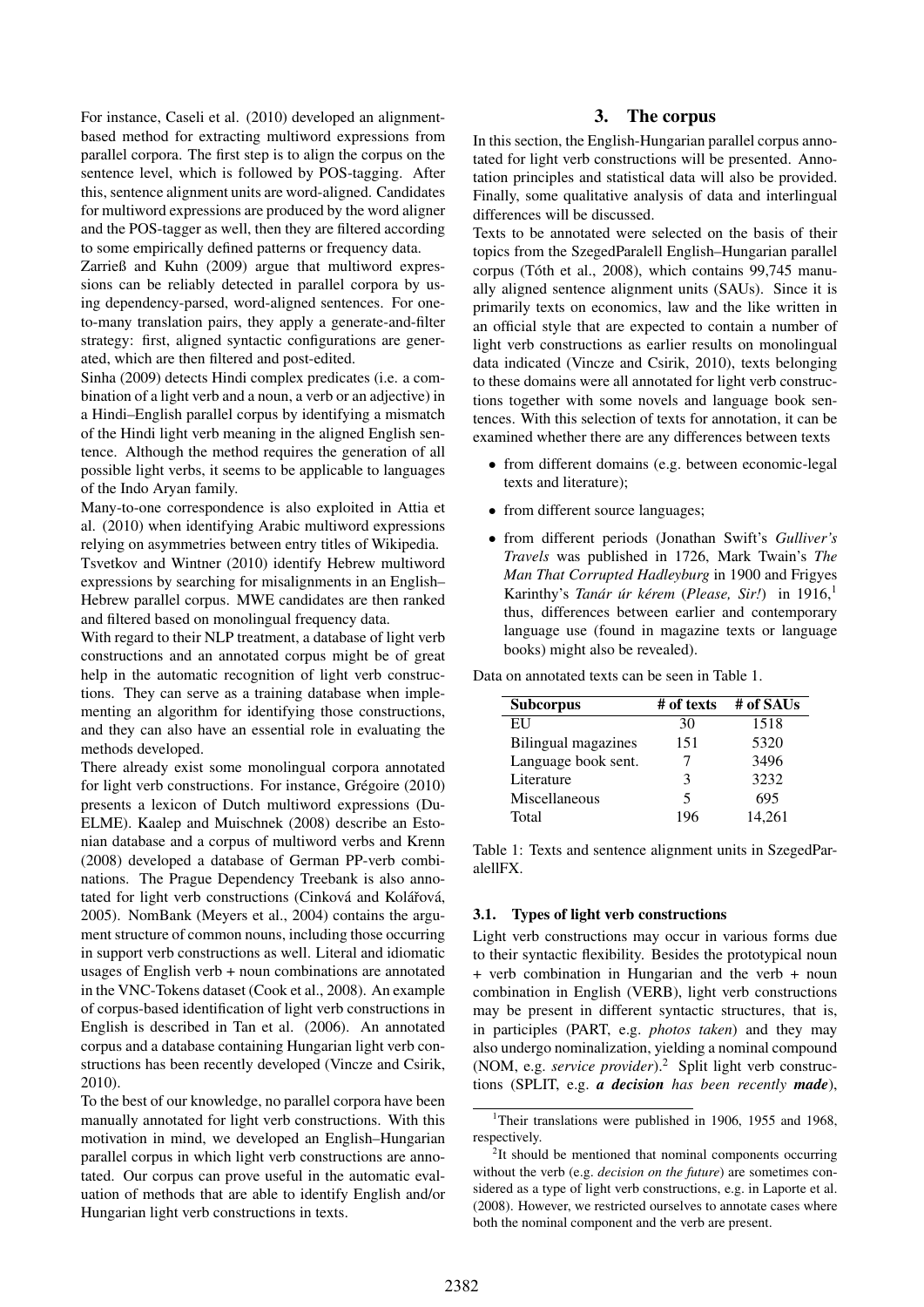For instance, Caseli et al. (2010) developed an alignmentbased method for extracting multiword expressions from parallel corpora. The first step is to align the corpus on the sentence level, which is followed by POS-tagging. After this, sentence alignment units are word-aligned. Candidates for multiword expressions are produced by the word aligner and the POS-tagger as well, then they are filtered according to some empirically defined patterns or frequency data.

Zarrieß and Kuhn (2009) argue that multiword expressions can be reliably detected in parallel corpora by using dependency-parsed, word-aligned sentences. For oneto-many translation pairs, they apply a generate-and-filter strategy: first, aligned syntactic configurations are generated, which are then filtered and post-edited.

Sinha (2009) detects Hindi complex predicates (i.e. a combination of a light verb and a noun, a verb or an adjective) in a Hindi–English parallel corpus by identifying a mismatch of the Hindi light verb meaning in the aligned English sentence. Although the method requires the generation of all possible light verbs, it seems to be applicable to languages of the Indo Aryan family.

Many-to-one correspondence is also exploited in Attia et al. (2010) when identifying Arabic multiword expressions relying on asymmetries between entry titles of Wikipedia.

Tsvetkov and Wintner (2010) identify Hebrew multiword expressions by searching for misalignments in an English– Hebrew parallel corpus. MWE candidates are then ranked and filtered based on monolingual frequency data.

With regard to their NLP treatment, a database of light verb constructions and an annotated corpus might be of great help in the automatic recognition of light verb constructions. They can serve as a training database when implementing an algorithm for identifying those constructions, and they can also have an essential role in evaluating the methods developed.

There already exist some monolingual corpora annotated for light verb constructions. For instance, Grégoire (2010) presents a lexicon of Dutch multiword expressions (Du-ELME). Kaalep and Muischnek (2008) describe an Estonian database and a corpus of multiword verbs and Krenn (2008) developed a database of German PP-verb combinations. The Prague Dependency Treebank is also annotated for light verb constructions (Cinková and Kolářová, 2005). NomBank (Meyers et al., 2004) contains the argument structure of common nouns, including those occurring in support verb constructions as well. Literal and idiomatic usages of English verb + noun combinations are annotated in the VNC-Tokens dataset (Cook et al., 2008). An example of corpus-based identification of light verb constructions in English is described in Tan et al. (2006). An annotated corpus and a database containing Hungarian light verb constructions has been recently developed (Vincze and Csirik, 2010).

To the best of our knowledge, no parallel corpora have been manually annotated for light verb constructions. With this motivation in mind, we developed an English–Hungarian parallel corpus in which light verb constructions are annotated. Our corpus can prove useful in the automatic evaluation of methods that are able to identify English and/or Hungarian light verb constructions in texts.

# 3. The corpus

In this section, the English-Hungarian parallel corpus annotated for light verb constructions will be presented. Annotation principles and statistical data will also be provided. Finally, some qualitative analysis of data and interlingual differences will be discussed.

Texts to be annotated were selected on the basis of their topics from the SzegedParalell English–Hungarian parallel corpus (Tóth et al., 2008), which contains 99,745 manually aligned sentence alignment units (SAUs). Since it is primarily texts on economics, law and the like written in an official style that are expected to contain a number of light verb constructions as earlier results on monolingual data indicated (Vincze and Csirik, 2010), texts belonging to these domains were all annotated for light verb constructions together with some novels and language book sentences. With this selection of texts for annotation, it can be examined whether there are any differences between texts

- from different domains (e.g. between economic-legal texts and literature);
- from different source languages;
- from different periods (Jonathan Swift's *Gulliver's Travels* was published in 1726, Mark Twain's *The Man That Corrupted Hadleyburg* in 1900 and Frigyes Karinthy's *Tanár úr kérem* (Please, Sir!) in 1916,<sup>1</sup> thus, differences between earlier and contemporary language use (found in magazine texts or language books) might also be revealed).

Data on annotated texts can be seen in Table 1.

| <b>Subcorpus</b>    | # of texts | # of SAUs |
|---------------------|------------|-----------|
| EU                  | 30         | 1518      |
| Bilingual magazines | 151        | 5320      |
| Language book sent. |            | 3496      |
| Literature          | 3          | 3232      |
| Miscellaneous       | 5          | 695       |
| Total               | 196        | 14.261    |

Table 1: Texts and sentence alignment units in SzegedParalellFX.

# 3.1. Types of light verb constructions

Light verb constructions may occur in various forms due to their syntactic flexibility. Besides the prototypical noun + verb combination in Hungarian and the verb + noun combination in English (VERB), light verb constructions may be present in different syntactic structures, that is, in participles (PART, e.g. *photos taken*) and they may also undergo nominalization, yielding a nominal compound (NOM, e.g. *service provider*).<sup>2</sup> Split light verb constructions (SPLIT, e.g. *a decision has been recently made*),

<sup>&</sup>lt;sup>1</sup>Their translations were published in 1906, 1955 and 1968, respectively.

<sup>&</sup>lt;sup>2</sup>It should be mentioned that nominal components occurring without the verb (e.g. *decision on the future*) are sometimes considered as a type of light verb constructions, e.g. in Laporte et al. (2008). However, we restricted ourselves to annotate cases where both the nominal component and the verb are present.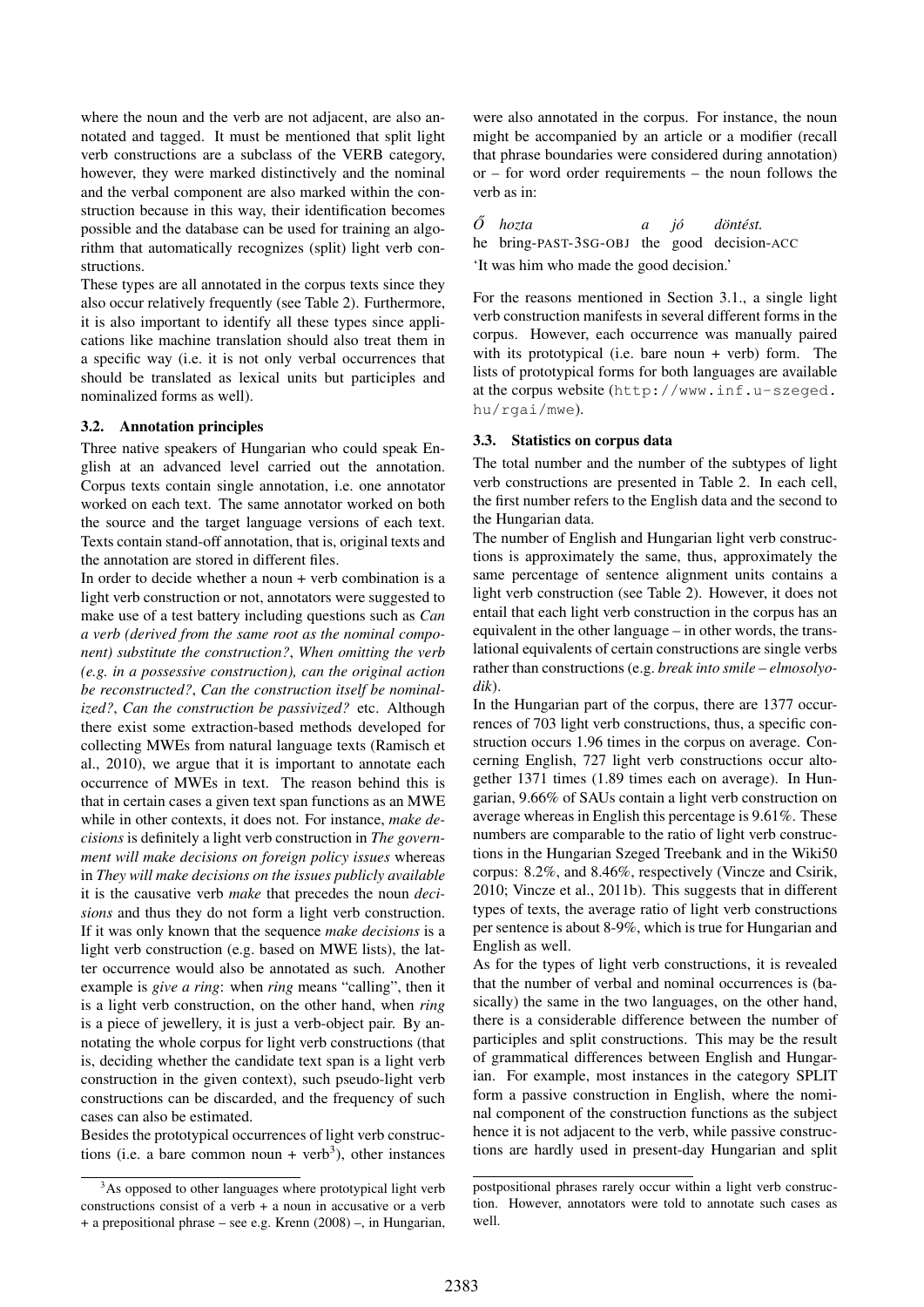where the noun and the verb are not adjacent, are also annotated and tagged. It must be mentioned that split light verb constructions are a subclass of the VERB category, however, they were marked distinctively and the nominal and the verbal component are also marked within the construction because in this way, their identification becomes possible and the database can be used for training an algorithm that automatically recognizes (split) light verb constructions.

These types are all annotated in the corpus texts since they also occur relatively frequently (see Table 2). Furthermore, it is also important to identify all these types since applications like machine translation should also treat them in a specific way (i.e. it is not only verbal occurrences that should be translated as lexical units but participles and nominalized forms as well).

#### 3.2. Annotation principles

Three native speakers of Hungarian who could speak English at an advanced level carried out the annotation. Corpus texts contain single annotation, i.e. one annotator worked on each text. The same annotator worked on both the source and the target language versions of each text. Texts contain stand-off annotation, that is, original texts and the annotation are stored in different files.

In order to decide whether a noun  $+$  verb combination is a light verb construction or not, annotators were suggested to make use of a test battery including questions such as *Can a verb (derived from the same root as the nominal component) substitute the construction?*, *When omitting the verb (e.g. in a possessive construction), can the original action be reconstructed?*, *Can the construction itself be nominalized?*, *Can the construction be passivized?* etc. Although there exist some extraction-based methods developed for collecting MWEs from natural language texts (Ramisch et al., 2010), we argue that it is important to annotate each occurrence of MWEs in text. The reason behind this is that in certain cases a given text span functions as an MWE while in other contexts, it does not. For instance, *make decisions* is definitely a light verb construction in *The government will make decisions on foreign policy issues* whereas in *They will make decisions on the issues publicly available* it is the causative verb *make* that precedes the noun *decisions* and thus they do not form a light verb construction. If it was only known that the sequence *make decisions* is a light verb construction (e.g. based on MWE lists), the latter occurrence would also be annotated as such. Another example is *give a ring*: when *ring* means "calling", then it is a light verb construction, on the other hand, when *ring* is a piece of jewellery, it is just a verb-object pair. By annotating the whole corpus for light verb constructions (that is, deciding whether the candidate text span is a light verb construction in the given context), such pseudo-light verb constructions can be discarded, and the frequency of such cases can also be estimated.

Besides the prototypical occurrences of light verb constructions (i.e. a bare common noun + verb<sup>3</sup>), other instances

were also annotated in the corpus. For instance, the noun might be accompanied by an article or a modifier (recall that phrase boundaries were considered during annotation) or – for word order requirements – the noun follows the verb as in:

#### *O˝ hozta a jo´ döntést.*

he bring-PAST-3SG-OBJ the good decision-ACC 'It was him who made the good decision.'

For the reasons mentioned in Section 3.1., a single light verb construction manifests in several different forms in the corpus. However, each occurrence was manually paired with its prototypical (i.e. bare noun + verb) form. The lists of prototypical forms for both languages are available at the corpus website (http://www.inf.u-szeged. hu/rgai/mwe).

# 3.3. Statistics on corpus data

The total number and the number of the subtypes of light verb constructions are presented in Table 2. In each cell, the first number refers to the English data and the second to the Hungarian data.

The number of English and Hungarian light verb constructions is approximately the same, thus, approximately the same percentage of sentence alignment units contains a light verb construction (see Table 2). However, it does not entail that each light verb construction in the corpus has an equivalent in the other language – in other words, the translational equivalents of certain constructions are single verbs rather than constructions (e.g. *break into smile* – *elmosolyodik*).

In the Hungarian part of the corpus, there are 1377 occurrences of 703 light verb constructions, thus, a specific construction occurs 1.96 times in the corpus on average. Concerning English, 727 light verb constructions occur altogether 1371 times (1.89 times each on average). In Hungarian, 9.66% of SAUs contain a light verb construction on average whereas in English this percentage is 9.61%. These numbers are comparable to the ratio of light verb constructions in the Hungarian Szeged Treebank and in the Wiki50 corpus: 8.2%, and 8.46%, respectively (Vincze and Csirik, 2010; Vincze et al., 2011b). This suggests that in different types of texts, the average ratio of light verb constructions per sentence is about 8-9%, which is true for Hungarian and English as well.

As for the types of light verb constructions, it is revealed that the number of verbal and nominal occurrences is (basically) the same in the two languages, on the other hand, there is a considerable difference between the number of participles and split constructions. This may be the result of grammatical differences between English and Hungarian. For example, most instances in the category SPLIT form a passive construction in English, where the nominal component of the construction functions as the subject hence it is not adjacent to the verb, while passive constructions are hardly used in present-day Hungarian and split

<sup>&</sup>lt;sup>3</sup>As opposed to other languages where prototypical light verb constructions consist of a verb + a noun in accusative or a verb + a prepositional phrase – see e.g. Krenn (2008) –, in Hungarian,

postpositional phrases rarely occur within a light verb construction. However, annotators were told to annotate such cases as well.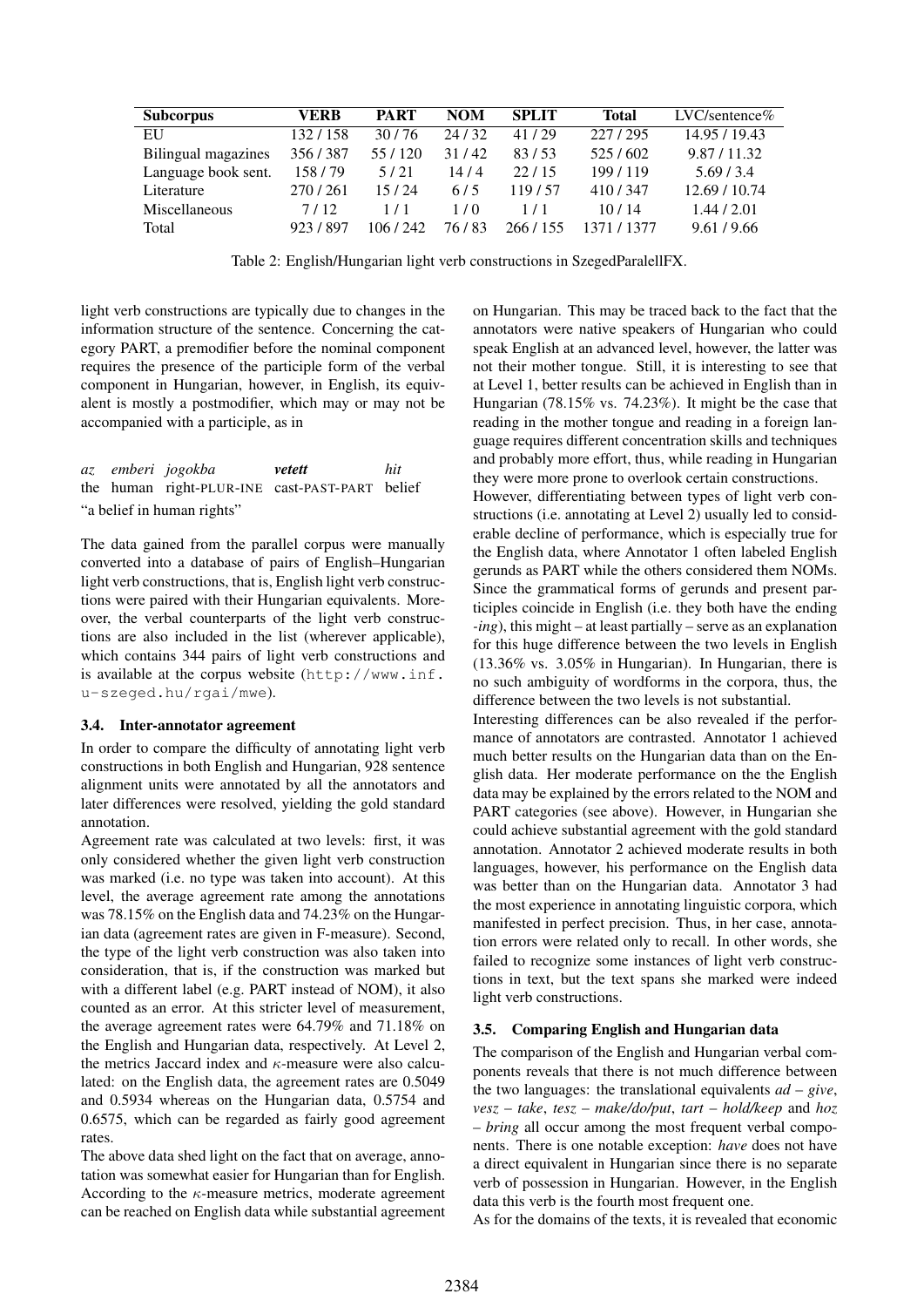| <b>Subcorpus</b>     | VERB    | <b>PART</b> | <b>NOM</b> | <b>SPLIT</b> | Total       | $LVC$ /sentence $%$ |
|----------------------|---------|-------------|------------|--------------|-------------|---------------------|
| EU                   | 132/158 | 30/76       | 24/32      | 41/29        | 227/295     | 14.95 / 19.43       |
| Bilingual magazines  | 356/387 | 55/120      | 31/42      | 83/53        | 525/602     | 9.87/11.32          |
| Language book sent.  | 158/79  | 5/21        | 14/4       | 22/15        | 199/119     | 5.69/3.4            |
| Literature           | 270/261 | 15/24       | 6/5        | 119/57       | 410/347     | 12.69 / 10.74       |
| <b>Miscellaneous</b> | 7/12    | 1/1         | 1/0        | 171          | 10/14       | 1.44/2.01           |
| Total                | 923/897 | 106/242     | 76 / 83    | 266 / 155    | 1371 / 1377 | 9.61/9.66           |

Table 2: English/Hungarian light verb constructions in SzegedParalellFX.

light verb constructions are typically due to changes in the information structure of the sentence. Concerning the category PART, a premodifier before the nominal component requires the presence of the participle form of the verbal component in Hungarian, however, in English, its equivalent is mostly a postmodifier, which may or may not be accompanied with a participle, as in

*az* the human right-PLUR-INE cast-PAST-PART belief *emberi jogokba vetett hit* "a belief in human rights"

The data gained from the parallel corpus were manually converted into a database of pairs of English–Hungarian light verb constructions, that is, English light verb constructions were paired with their Hungarian equivalents. Moreover, the verbal counterparts of the light verb constructions are also included in the list (wherever applicable), which contains 344 pairs of light verb constructions and is available at the corpus website (http://www.inf. u-szeged.hu/rgai/mwe).

# 3.4. Inter-annotator agreement

In order to compare the difficulty of annotating light verb constructions in both English and Hungarian, 928 sentence alignment units were annotated by all the annotators and later differences were resolved, yielding the gold standard annotation.

Agreement rate was calculated at two levels: first, it was only considered whether the given light verb construction was marked (i.e. no type was taken into account). At this level, the average agreement rate among the annotations was 78.15% on the English data and 74.23% on the Hungarian data (agreement rates are given in F-measure). Second, the type of the light verb construction was also taken into consideration, that is, if the construction was marked but with a different label (e.g. PART instead of NOM), it also counted as an error. At this stricter level of measurement, the average agreement rates were 64.79% and 71.18% on the English and Hungarian data, respectively. At Level 2, the metrics Jaccard index and  $\kappa$ -measure were also calculated: on the English data, the agreement rates are 0.5049 and 0.5934 whereas on the Hungarian data, 0.5754 and 0.6575, which can be regarded as fairly good agreement rates.

The above data shed light on the fact that on average, annotation was somewhat easier for Hungarian than for English. According to the  $\kappa$ -measure metrics, moderate agreement can be reached on English data while substantial agreement on Hungarian. This may be traced back to the fact that the annotators were native speakers of Hungarian who could speak English at an advanced level, however, the latter was not their mother tongue. Still, it is interesting to see that at Level 1, better results can be achieved in English than in Hungarian (78.15% vs. 74.23%). It might be the case that reading in the mother tongue and reading in a foreign language requires different concentration skills and techniques and probably more effort, thus, while reading in Hungarian they were more prone to overlook certain constructions.

However, differentiating between types of light verb constructions (i.e. annotating at Level 2) usually led to considerable decline of performance, which is especially true for the English data, where Annotator 1 often labeled English gerunds as PART while the others considered them NOMs. Since the grammatical forms of gerunds and present participles coincide in English (i.e. they both have the ending *-ing*), this might – at least partially – serve as an explanation for this huge difference between the two levels in English (13.36% vs. 3.05% in Hungarian). In Hungarian, there is no such ambiguity of wordforms in the corpora, thus, the difference between the two levels is not substantial.

Interesting differences can be also revealed if the performance of annotators are contrasted. Annotator 1 achieved much better results on the Hungarian data than on the English data. Her moderate performance on the the English data may be explained by the errors related to the NOM and PART categories (see above). However, in Hungarian she could achieve substantial agreement with the gold standard annotation. Annotator 2 achieved moderate results in both languages, however, his performance on the English data was better than on the Hungarian data. Annotator 3 had the most experience in annotating linguistic corpora, which manifested in perfect precision. Thus, in her case, annotation errors were related only to recall. In other words, she failed to recognize some instances of light verb constructions in text, but the text spans she marked were indeed light verb constructions.

# 3.5. Comparing English and Hungarian data

The comparison of the English and Hungarian verbal components reveals that there is not much difference between the two languages: the translational equivalents *ad* – *give*, *vesz* – *take*, *tesz* – *make/do/put*, *tart* – *hold/keep* and *hoz* – *bring* all occur among the most frequent verbal components. There is one notable exception: *have* does not have a direct equivalent in Hungarian since there is no separate verb of possession in Hungarian. However, in the English data this verb is the fourth most frequent one.

As for the domains of the texts, it is revealed that economic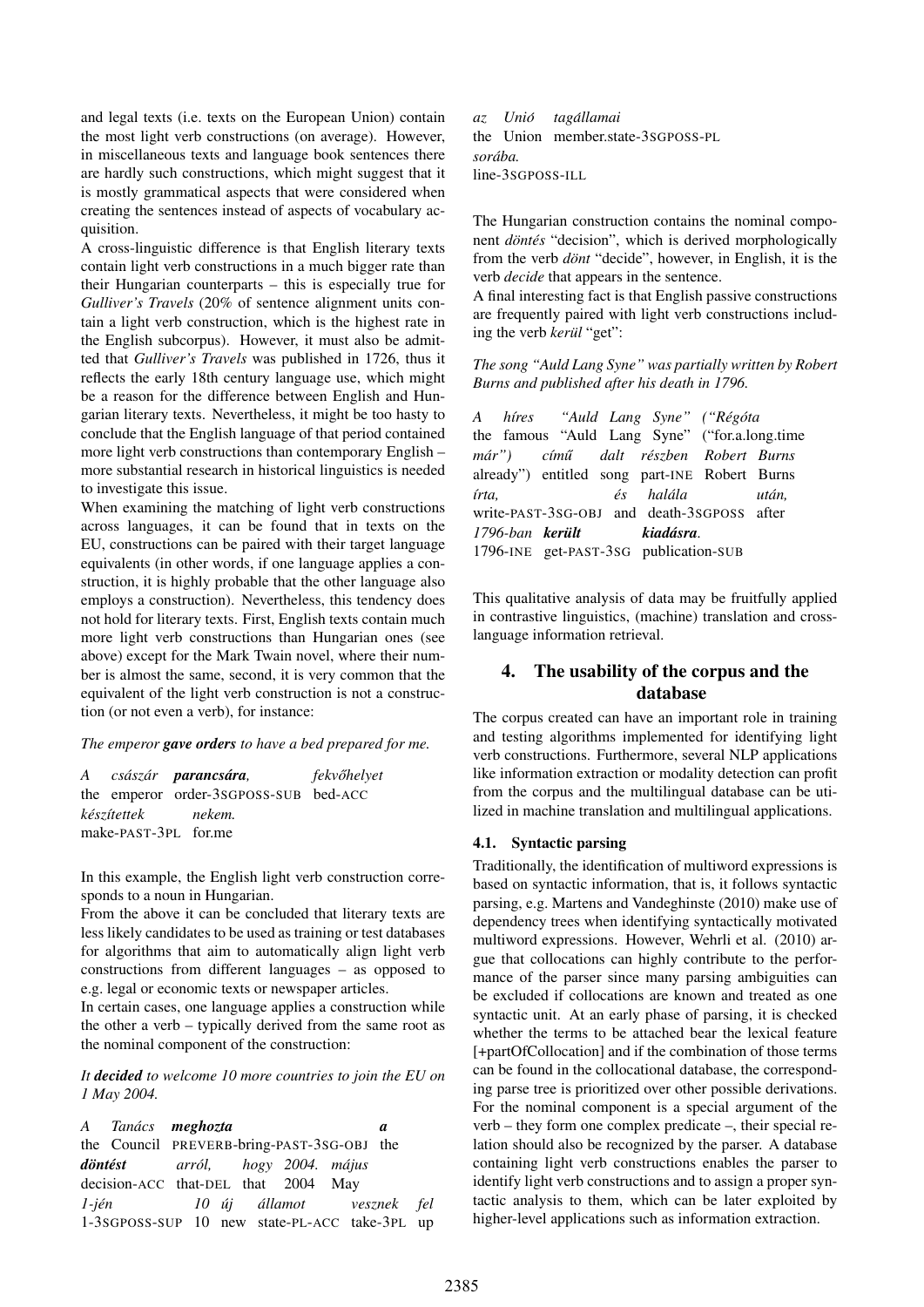and legal texts (i.e. texts on the European Union) contain the most light verb constructions (on average). However, in miscellaneous texts and language book sentences there are hardly such constructions, which might suggest that it is mostly grammatical aspects that were considered when creating the sentences instead of aspects of vocabulary acquisition.

A cross-linguistic difference is that English literary texts contain light verb constructions in a much bigger rate than their Hungarian counterparts – this is especially true for *Gulliver's Travels* (20% of sentence alignment units contain a light verb construction, which is the highest rate in the English subcorpus). However, it must also be admitted that *Gulliver's Travels* was published in 1726, thus it reflects the early 18th century language use, which might be a reason for the difference between English and Hungarian literary texts. Nevertheless, it might be too hasty to conclude that the English language of that period contained more light verb constructions than contemporary English – more substantial research in historical linguistics is needed to investigate this issue.

When examining the matching of light verb constructions across languages, it can be found that in texts on the EU, constructions can be paired with their target language equivalents (in other words, if one language applies a construction, it is highly probable that the other language also employs a construction). Nevertheless, this tendency does not hold for literary texts. First, English texts contain much more light verb constructions than Hungarian ones (see above) except for the Mark Twain novel, where their number is almost the same, second, it is very common that the equivalent of the light verb construction is not a construction (or not even a verb), for instance:

#### *The emperor gave orders to have a bed prepared for me.*

|                      | A császár <b>parancsára</b> ,         | fekvőhelyet |
|----------------------|---------------------------------------|-------------|
|                      | the emperor order-3sGPOSS-SUB bed-ACC |             |
|                      | készítettek nekem.                    |             |
| make-PAST-3PL for.me |                                       |             |

In this example, the English light verb construction corresponds to a noun in Hungarian.

From the above it can be concluded that literary texts are less likely candidates to be used as training or test databases for algorithms that aim to automatically align light verb constructions from different languages – as opposed to e.g. legal or economic texts or newspaper articles.

In certain cases, one language applies a construction while the other a verb – typically derived from the same root as the nominal component of the construction:

*It decided to welcome 10 more countries to join the EU on 1 May 2004.*

| A Tanács meghozta                             |                                            |  |  |  |  | a |  |
|-----------------------------------------------|--------------------------------------------|--|--|--|--|---|--|
|                                               | the Council PREVERB-bring-PAST-3SG-OBJ the |  |  |  |  |   |  |
| <b>döntést</b> arról, hogy 2004. május        |                                            |  |  |  |  |   |  |
| decision-ACC that-DEL that 2004 May           |                                            |  |  |  |  |   |  |
| 1-jén 10 új államot vesznek fel               |                                            |  |  |  |  |   |  |
| 1-3sGPOSS-SUP 10 new state-PL-ACC take-3PL up |                                            |  |  |  |  |   |  |

*az* the Union member.state-3SGPOSS-PL *Unio´ tagallamai ´ soraba. ´* line-3SGPOSS-ILL

The Hungarian construction contains the nominal component *döntés* "decision", which is derived morphologically from the verb *dont* "decide", however, in English, it is the verb *decide* that appears in the sentence.

A final interesting fact is that English passive constructions are frequently paired with light verb constructions including the verb *kerul* "get":

*The song "Auld Lang Syne" was partially written by Robert Burns and published after his death in 1796.*

*A* the famous "Auld Lang Syne" ("for.a.long.time *h´ıres* "Auld Lang Syne" ("Régóta *mar") ´* already") entitled song part-INE Robert Burns *c´ımu˝ dalt reszben ´ Robert Burns ´ırta,* write-PAST-3SG-OBJ and death-3SGPOSS after  $\acute{e}s$ *halala ´ utan, ´ 1796-ban kerult ¨* 1796-INE get-PAST-3SG publication-SUB *kiadasra ´ .*

This qualitative analysis of data may be fruitfully applied in contrastive linguistics, (machine) translation and crosslanguage information retrieval.

# 4. The usability of the corpus and the database

The corpus created can have an important role in training and testing algorithms implemented for identifying light verb constructions. Furthermore, several NLP applications like information extraction or modality detection can profit from the corpus and the multilingual database can be utilized in machine translation and multilingual applications.

#### 4.1. Syntactic parsing

Traditionally, the identification of multiword expressions is based on syntactic information, that is, it follows syntactic parsing, e.g. Martens and Vandeghinste (2010) make use of dependency trees when identifying syntactically motivated multiword expressions. However, Wehrli et al. (2010) argue that collocations can highly contribute to the performance of the parser since many parsing ambiguities can be excluded if collocations are known and treated as one syntactic unit. At an early phase of parsing, it is checked whether the terms to be attached bear the lexical feature [+partOfCollocation] and if the combination of those terms can be found in the collocational database, the corresponding parse tree is prioritized over other possible derivations. For the nominal component is a special argument of the verb – they form one complex predicate –, their special relation should also be recognized by the parser. A database containing light verb constructions enables the parser to identify light verb constructions and to assign a proper syntactic analysis to them, which can be later exploited by higher-level applications such as information extraction.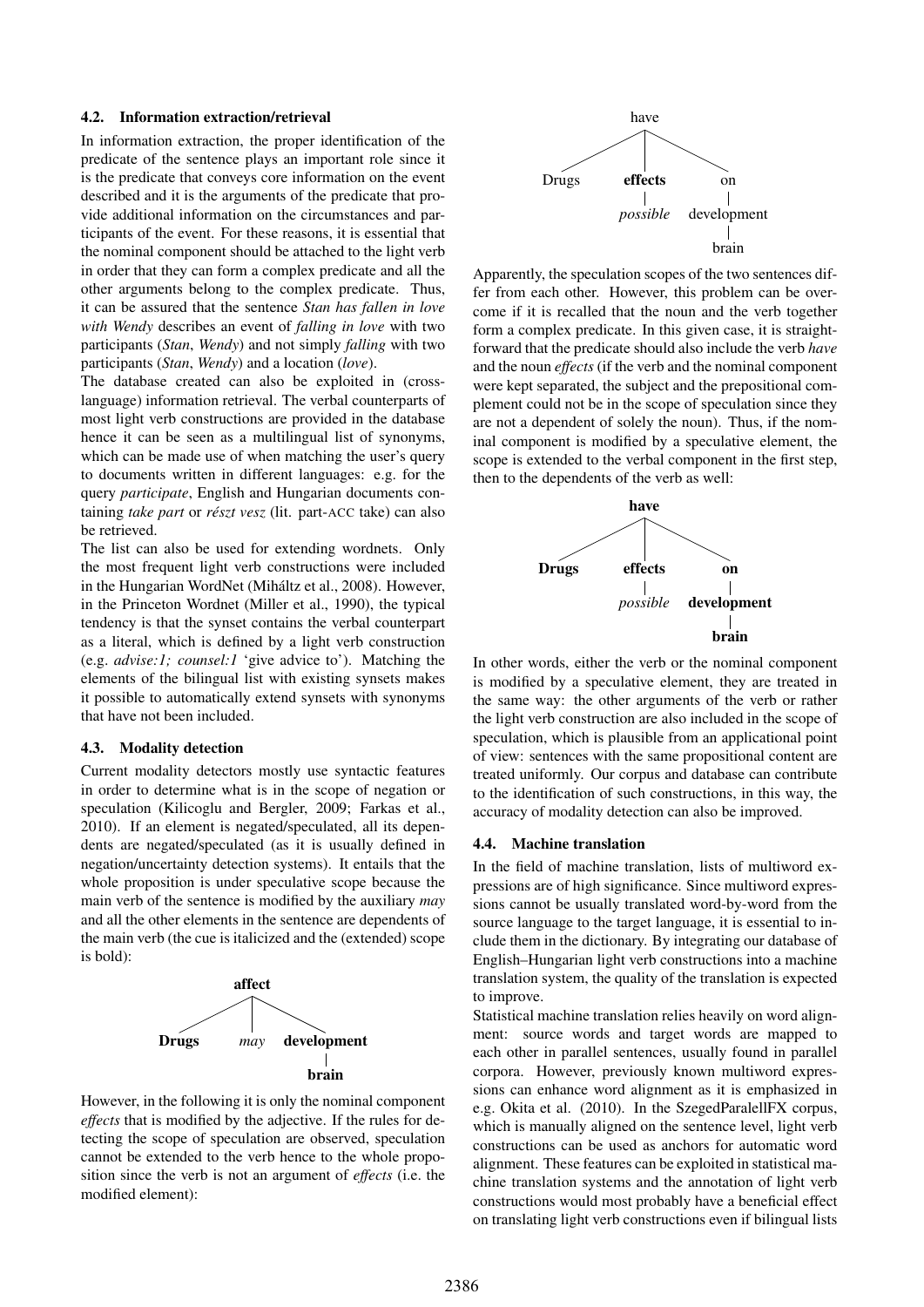# 4.2. Information extraction/retrieval

In information extraction, the proper identification of the predicate of the sentence plays an important role since it is the predicate that conveys core information on the event described and it is the arguments of the predicate that provide additional information on the circumstances and participants of the event. For these reasons, it is essential that the nominal component should be attached to the light verb in order that they can form a complex predicate and all the other arguments belong to the complex predicate. Thus, it can be assured that the sentence *Stan has fallen in love with Wendy* describes an event of *falling in love* with two participants (*Stan*, *Wendy*) and not simply *falling* with two participants (*Stan*, *Wendy*) and a location (*love*).

The database created can also be exploited in (crosslanguage) information retrieval. The verbal counterparts of most light verb constructions are provided in the database hence it can be seen as a multilingual list of synonyms, which can be made use of when matching the user's query to documents written in different languages: e.g. for the query *participate*, English and Hungarian documents containing *take part* or *reszt vesz ´* (lit. part-ACC take) can also be retrieved.

The list can also be used for extending wordnets. Only the most frequent light verb constructions were included in the Hungarian WordNet (Miháltz et al., 2008). However, in the Princeton Wordnet (Miller et al., 1990), the typical tendency is that the synset contains the verbal counterpart as a literal, which is defined by a light verb construction (e.g. *advise:1; counsel:1* 'give advice to'). Matching the elements of the bilingual list with existing synsets makes it possible to automatically extend synsets with synonyms that have not been included.

#### 4.3. Modality detection

Current modality detectors mostly use syntactic features in order to determine what is in the scope of negation or speculation (Kilicoglu and Bergler, 2009; Farkas et al., 2010). If an element is negated/speculated, all its dependents are negated/speculated (as it is usually defined in negation/uncertainty detection systems). It entails that the whole proposition is under speculative scope because the main verb of the sentence is modified by the auxiliary *may* and all the other elements in the sentence are dependents of the main verb (the cue is italicized and the (extended) scope is bold):



However, in the following it is only the nominal component *effects* that is modified by the adjective. If the rules for detecting the scope of speculation are observed, speculation cannot be extended to the verb hence to the whole proposition since the verb is not an argument of *effects* (i.e. the modified element):



Apparently, the speculation scopes of the two sentences differ from each other. However, this problem can be overcome if it is recalled that the noun and the verb together form a complex predicate. In this given case, it is straightforward that the predicate should also include the verb *have* and the noun *effects* (if the verb and the nominal component were kept separated, the subject and the prepositional complement could not be in the scope of speculation since they are not a dependent of solely the noun). Thus, if the nominal component is modified by a speculative element, the scope is extended to the verbal component in the first step, then to the dependents of the verb as well:



In other words, either the verb or the nominal component is modified by a speculative element, they are treated in the same way: the other arguments of the verb or rather the light verb construction are also included in the scope of speculation, which is plausible from an applicational point of view: sentences with the same propositional content are treated uniformly. Our corpus and database can contribute to the identification of such constructions, in this way, the accuracy of modality detection can also be improved.

#### 4.4. Machine translation

In the field of machine translation, lists of multiword expressions are of high significance. Since multiword expressions cannot be usually translated word-by-word from the source language to the target language, it is essential to include them in the dictionary. By integrating our database of English–Hungarian light verb constructions into a machine translation system, the quality of the translation is expected to improve.

Statistical machine translation relies heavily on word alignment: source words and target words are mapped to each other in parallel sentences, usually found in parallel corpora. However, previously known multiword expressions can enhance word alignment as it is emphasized in e.g. Okita et al. (2010). In the SzegedParalellFX corpus, which is manually aligned on the sentence level, light verb constructions can be used as anchors for automatic word alignment. These features can be exploited in statistical machine translation systems and the annotation of light verb constructions would most probably have a beneficial effect on translating light verb constructions even if bilingual lists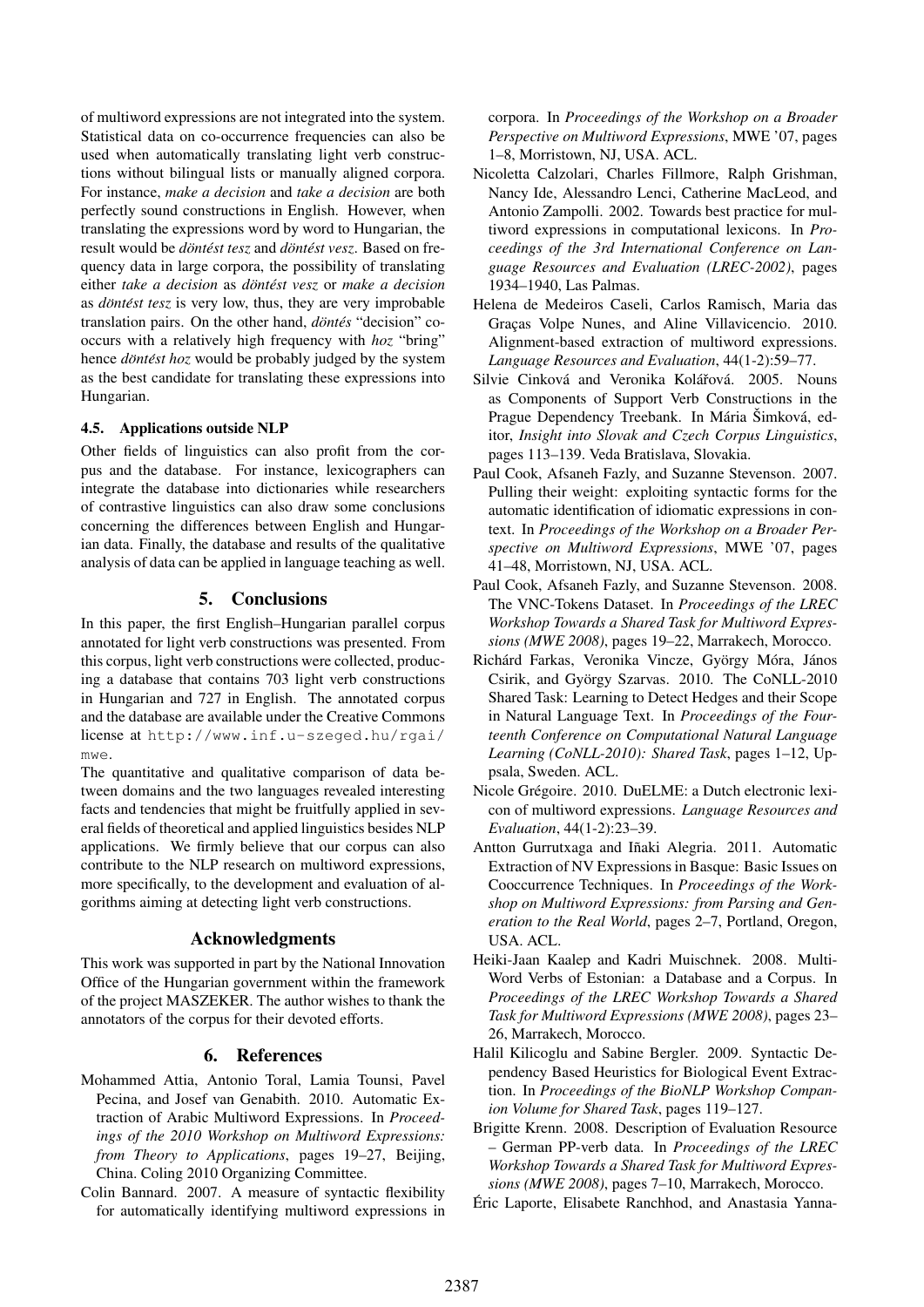of multiword expressions are not integrated into the system. Statistical data on co-occurrence frequencies can also be used when automatically translating light verb constructions without bilingual lists or manually aligned corpora. For instance, *make a decision* and *take a decision* are both perfectly sound constructions in English. However, when translating the expressions word by word to Hungarian, the *result would be döntést tesz and <i>döntést vesz*. Based on frequency data in large corpora, the possibility of translating either *take a decision* as *döntést vesz* or *make a decision* as *döntést tesz* is very low, thus, they are very improbable translation pairs. On the other hand, *döntés* "decision" cooccurs with a relatively high frequency with *hoz* "bring" hence *dontést hoz* would be probably judged by the system as the best candidate for translating these expressions into Hungarian.

#### 4.5. Applications outside NLP

Other fields of linguistics can also profit from the corpus and the database. For instance, lexicographers can integrate the database into dictionaries while researchers of contrastive linguistics can also draw some conclusions concerning the differences between English and Hungarian data. Finally, the database and results of the qualitative analysis of data can be applied in language teaching as well.

# 5. Conclusions

In this paper, the first English–Hungarian parallel corpus annotated for light verb constructions was presented. From this corpus, light verb constructions were collected, producing a database that contains 703 light verb constructions in Hungarian and 727 in English. The annotated corpus and the database are available under the Creative Commons license at http://www.inf.u-szeged.hu/rgai/ mwe.

The quantitative and qualitative comparison of data between domains and the two languages revealed interesting facts and tendencies that might be fruitfully applied in several fields of theoretical and applied linguistics besides NLP applications. We firmly believe that our corpus can also contribute to the NLP research on multiword expressions, more specifically, to the development and evaluation of algorithms aiming at detecting light verb constructions.

#### Acknowledgments

This work was supported in part by the National Innovation Office of the Hungarian government within the framework of the project MASZEKER. The author wishes to thank the annotators of the corpus for their devoted efforts.

# 6. References

- Mohammed Attia, Antonio Toral, Lamia Tounsi, Pavel Pecina, and Josef van Genabith. 2010. Automatic Extraction of Arabic Multiword Expressions. In *Proceedings of the 2010 Workshop on Multiword Expressions: from Theory to Applications*, pages 19–27, Beijing, China. Coling 2010 Organizing Committee.
- Colin Bannard. 2007. A measure of syntactic flexibility for automatically identifying multiword expressions in

corpora. In *Proceedings of the Workshop on a Broader Perspective on Multiword Expressions*, MWE '07, pages 1–8, Morristown, NJ, USA. ACL.

- Nicoletta Calzolari, Charles Fillmore, Ralph Grishman, Nancy Ide, Alessandro Lenci, Catherine MacLeod, and Antonio Zampolli. 2002. Towards best practice for multiword expressions in computational lexicons. In *Proceedings of the 3rd International Conference on Language Resources and Evaluation (LREC-2002)*, pages 1934–1940, Las Palmas.
- Helena de Medeiros Caseli, Carlos Ramisch, Maria das Graças Volpe Nunes, and Aline Villavicencio. 2010. Alignment-based extraction of multiword expressions. *Language Resources and Evaluation*, 44(1-2):59–77.
- Silvie Cinková and Veronika Kolářová. 2005. Nouns as Components of Support Verb Constructions in the Prague Dependency Treebank. In Mária Šimková, editor, *Insight into Slovak and Czech Corpus Linguistics*, pages 113–139. Veda Bratislava, Slovakia.
- Paul Cook, Afsaneh Fazly, and Suzanne Stevenson. 2007. Pulling their weight: exploiting syntactic forms for the automatic identification of idiomatic expressions in context. In *Proceedings of the Workshop on a Broader Perspective on Multiword Expressions*, MWE '07, pages 41–48, Morristown, NJ, USA. ACL.
- Paul Cook, Afsaneh Fazly, and Suzanne Stevenson. 2008. The VNC-Tokens Dataset. In *Proceedings of the LREC Workshop Towards a Shared Task for Multiword Expressions (MWE 2008)*, pages 19–22, Marrakech, Morocco.
- Richárd Farkas, Veronika Vincze, György Móra, János Csirik, and György Szarvas. 2010. The CoNLL-2010 Shared Task: Learning to Detect Hedges and their Scope in Natural Language Text. In *Proceedings of the Fourteenth Conference on Computational Natural Language Learning (CoNLL-2010): Shared Task*, pages 1–12, Uppsala, Sweden. ACL.
- Nicole Gregoire. 2010. DuELME: a Dutch electronic lexi- ´ con of multiword expressions. *Language Resources and Evaluation*, 44(1-2):23–39.
- Antton Gurrutxaga and Iñaki Alegria. 2011. Automatic Extraction of NV Expressions in Basque: Basic Issues on Cooccurrence Techniques. In *Proceedings of the Workshop on Multiword Expressions: from Parsing and Generation to the Real World*, pages 2–7, Portland, Oregon, USA. ACL.
- Heiki-Jaan Kaalep and Kadri Muischnek. 2008. Multi-Word Verbs of Estonian: a Database and a Corpus. In *Proceedings of the LREC Workshop Towards a Shared Task for Multiword Expressions (MWE 2008)*, pages 23– 26, Marrakech, Morocco.
- Halil Kilicoglu and Sabine Bergler. 2009. Syntactic Dependency Based Heuristics for Biological Event Extraction. In *Proceedings of the BioNLP Workshop Companion Volume for Shared Task*, pages 119–127.
- Brigitte Krenn. 2008. Description of Evaluation Resource – German PP-verb data. In *Proceedings of the LREC Workshop Towards a Shared Task for Multiword Expressions (MWE 2008)*, pages 7–10, Marrakech, Morocco.
- Eric Laporte, Elisabete Ranchhod, and Anastasia Yanna- ´